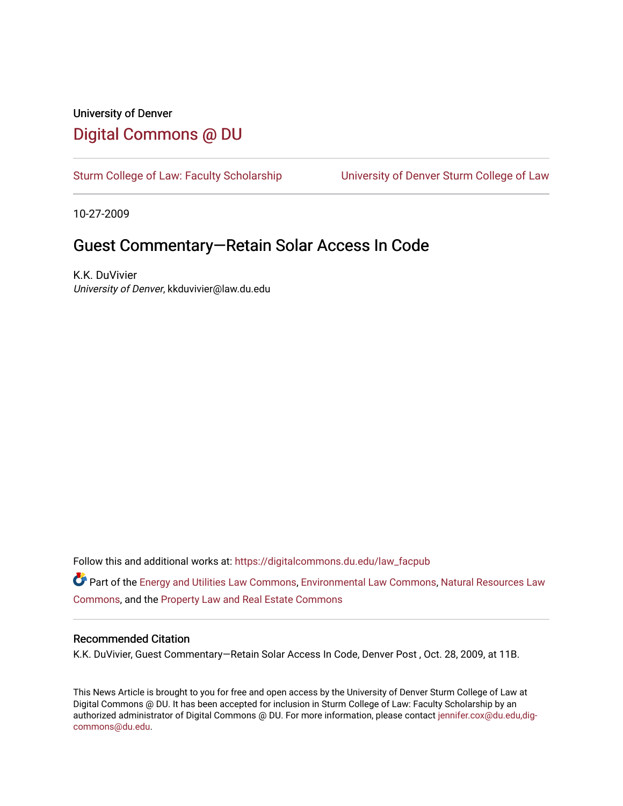# University of Denver [Digital Commons @ DU](https://digitalcommons.du.edu/)

[Sturm College of Law: Faculty Scholarship](https://digitalcommons.du.edu/law_facpub) [University of Denver Sturm College of Law](https://digitalcommons.du.edu/denver_law) 

10-27-2009

# Guest Commentary—Retain Solar Access In Code

K.K. DuVivier University of Denver, kkduvivier@law.du.edu

Follow this and additional works at: [https://digitalcommons.du.edu/law\\_facpub](https://digitalcommons.du.edu/law_facpub?utm_source=digitalcommons.du.edu%2Flaw_facpub%2F330&utm_medium=PDF&utm_campaign=PDFCoverPages) 

Part of the [Energy and Utilities Law Commons,](http://network.bepress.com/hgg/discipline/891?utm_source=digitalcommons.du.edu%2Flaw_facpub%2F330&utm_medium=PDF&utm_campaign=PDFCoverPages) [Environmental Law Commons](http://network.bepress.com/hgg/discipline/599?utm_source=digitalcommons.du.edu%2Flaw_facpub%2F330&utm_medium=PDF&utm_campaign=PDFCoverPages), Natural Resources Law [Commons](http://network.bepress.com/hgg/discipline/863?utm_source=digitalcommons.du.edu%2Flaw_facpub%2F330&utm_medium=PDF&utm_campaign=PDFCoverPages), and the [Property Law and Real Estate Commons](http://network.bepress.com/hgg/discipline/897?utm_source=digitalcommons.du.edu%2Flaw_facpub%2F330&utm_medium=PDF&utm_campaign=PDFCoverPages) 

#### Recommended Citation

K.K. DuVivier, Guest Commentary—Retain Solar Access In Code, Denver Post , Oct. 28, 2009, at 11B.

This News Article is brought to you for free and open access by the University of Denver Sturm College of Law at Digital Commons @ DU. It has been accepted for inclusion in Sturm College of Law: Faculty Scholarship by an authorized administrator of Digital Commons @ DU. For more information, please contact [jennifer.cox@du.edu,dig](mailto:jennifer.cox@du.edu,dig-commons@du.edu)[commons@du.edu.](mailto:jennifer.cox@du.edu,dig-commons@du.edu)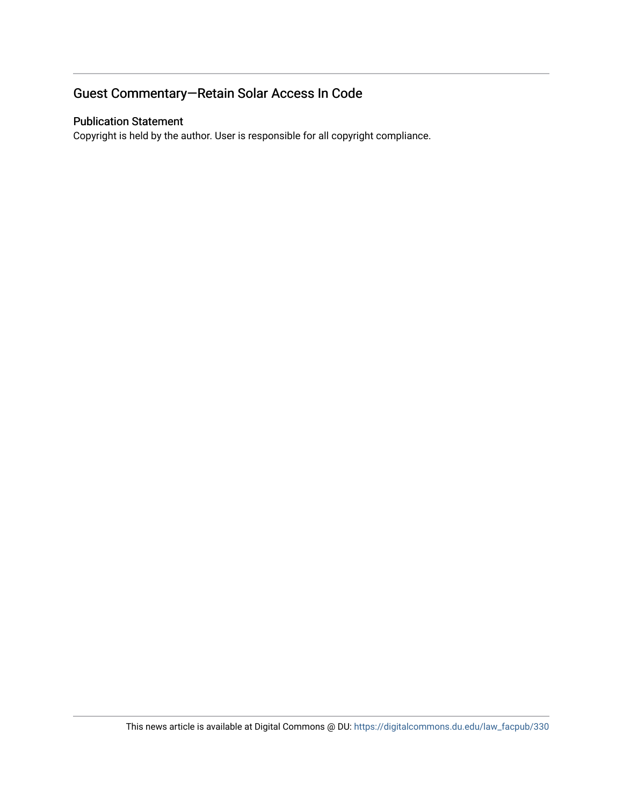## Guest Commentary—Retain Solar Access In Code

### Publication Statement

Copyright is held by the author. User is responsible for all copyright compliance.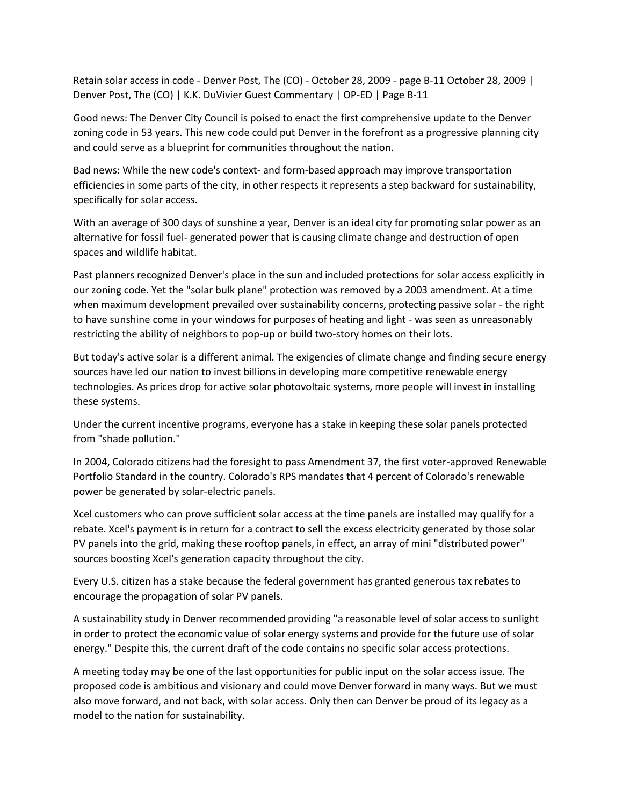Retain solar access in code - Denver Post, The (CO) - October 28, 2009 - page B-11 October 28, 2009 | Denver Post, The (CO) | K.K. DuVivier Guest Commentary | OP-ED | Page B-11

Good news: The Denver City Council is poised to enact the first comprehensive update to the Denver zoning code in 53 years. This new code could put Denver in the forefront as a progressive planning city and could serve as a blueprint for communities throughout the nation.

Bad news: While the new code's context- and form-based approach may improve transportation efficiencies in some parts of the city, in other respects it represents a step backward for sustainability, specifically for solar access.

With an average of 300 days of sunshine a year, Denver is an ideal city for promoting solar power as an alternative for fossil fuel- generated power that is causing climate change and destruction of open spaces and wildlife habitat.

Past planners recognized Denver's place in the sun and included protections for solar access explicitly in our zoning code. Yet the "solar bulk plane" protection was removed by a 2003 amendment. At a time when maximum development prevailed over sustainability concerns, protecting passive solar - the right to have sunshine come in your windows for purposes of heating and light - was seen as unreasonably restricting the ability of neighbors to pop-up or build two-story homes on their lots.

But today's active solar is a different animal. The exigencies of climate change and finding secure energy sources have led our nation to invest billions in developing more competitive renewable energy technologies. As prices drop for active solar photovoltaic systems, more people will invest in installing these systems.

Under the current incentive programs, everyone has a stake in keeping these solar panels protected from "shade pollution."

In 2004, Colorado citizens had the foresight to pass Amendment 37, the first voter-approved Renewable Portfolio Standard in the country. Colorado's RPS mandates that 4 percent of Colorado's renewable power be generated by solar-electric panels.

Xcel customers who can prove sufficient solar access at the time panels are installed may qualify for a rebate. Xcel's payment is in return for a contract to sell the excess electricity generated by those solar PV panels into the grid, making these rooftop panels, in effect, an array of mini "distributed power" sources boosting Xcel's generation capacity throughout the city.

Every U.S. citizen has a stake because the federal government has granted generous tax rebates to encourage the propagation of solar PV panels.

A sustainability study in Denver recommended providing "a reasonable level of solar access to sunlight in order to protect the economic value of solar energy systems and provide for the future use of solar energy." Despite this, the current draft of the code contains no specific solar access protections.

A meeting today may be one of the last opportunities for public input on the solar access issue. The proposed code is ambitious and visionary and could move Denver forward in many ways. But we must also move forward, and not back, with solar access. Only then can Denver be proud of its legacy as a model to the nation for sustainability.